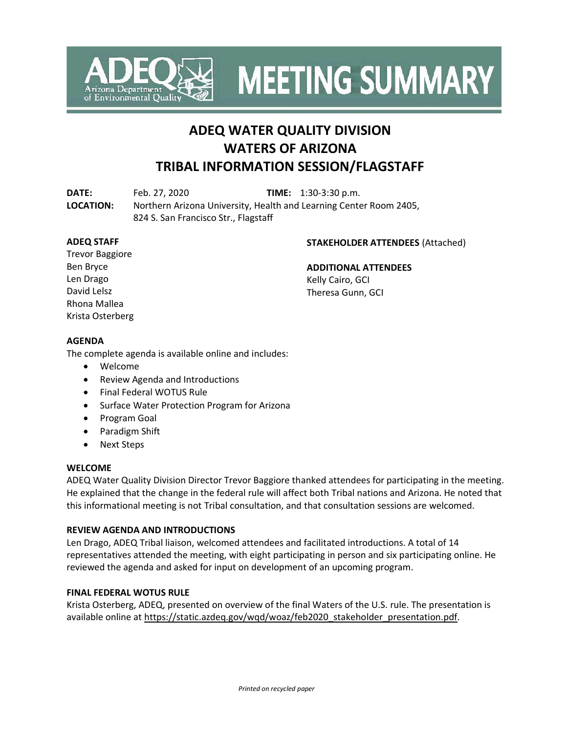

**MEETING SUMMARY** 

# **ADEQ WATER QUALITY DIVISION WATERS OF ARIZONA TRIBAL INFORMATION SESSION/FLAGSTAFF**

**DATE:** Feb. 27, 2020 **TIME:** 1:30-3:30 p.m. **LOCATION:** Northern Arizona University, Health and Learning Center Room 2405, 824 S. San Francisco Str., Flagstaff

#### **ADEQ STAFF**

#### **STAKEHOLDER ATTENDEES** (Attached)

Trevor Baggiore Ben Bryce Len Drago David Lelsz Rhona Mallea Krista Osterberg

#### **ADDITIONAL ATTENDEES**

Kelly Cairo, GCI Theresa Gunn, GCI

# **AGENDA**

The complete agenda is available online and includes:

- Welcome
- Review Agenda and Introductions
- Final Federal WOTUS Rule
- Surface Water Protection Program for Arizona
- Program Goal
- Paradigm Shift
- Next Steps

#### **WELCOME**

ADEQ Water Quality Division Director Trevor Baggiore thanked attendees for participating in the meeting. He explained that the change in the federal rule will affect both Tribal nations and Arizona. He noted that this informational meeting is not Tribal consultation, and that consultation sessions are welcomed.

#### **REVIEW AGENDA AND INTRODUCTIONS**

Len Drago, ADEQ Tribal liaison, welcomed attendees and facilitated introductions. A total of 14 representatives attended the meeting, with eight participating in person and six participating online. He reviewed the agenda and asked for input on development of an upcoming program.

#### **FINAL FEDERAL WOTUS RULE**

Krista Osterberg, ADEQ, presented on overview of the final Waters of the U.S. rule. The presentation is available online at [https://static.azdeq.gov/wqd/woaz/feb2020\\_stakeholder\\_presentation.pdf.](https://static.azdeq.gov/wqd/woaz/feb2020_stakeholder_presentation.pdf)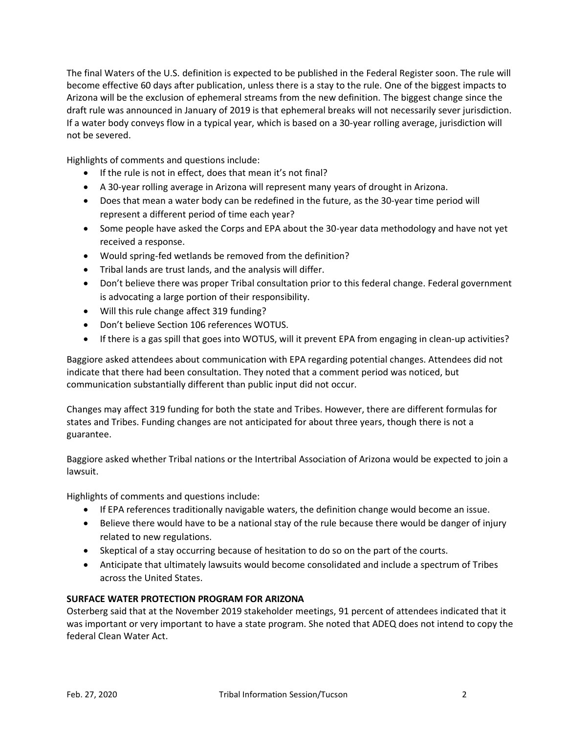The final Waters of the U.S. definition is expected to be published in the Federal Register soon. The rule will become effective 60 days after publication, unless there is a stay to the rule. One of the biggest impacts to Arizona will be the exclusion of ephemeral streams from the new definition. The biggest change since the draft rule was announced in January of 2019 is that ephemeral breaks will not necessarily sever jurisdiction. If a water body conveys flow in a typical year, which is based on a 30-year rolling average, jurisdiction will not be severed.

Highlights of comments and questions include:

- If the rule is not in effect, does that mean it's not final?
- A 30-year rolling average in Arizona will represent many years of drought in Arizona.
- Does that mean a water body can be redefined in the future, as the 30-year time period will represent a different period of time each year?
- Some people have asked the Corps and EPA about the 30-year data methodology and have not yet received a response.
- Would spring-fed wetlands be removed from the definition?
- Tribal lands are trust lands, and the analysis will differ.
- Don't believe there was proper Tribal consultation prior to this federal change. Federal government is advocating a large portion of their responsibility.
- Will this rule change affect 319 funding?
- Don't believe Section 106 references WOTUS.
- If there is a gas spill that goes into WOTUS, will it prevent EPA from engaging in clean-up activities?

Baggiore asked attendees about communication with EPA regarding potential changes. Attendees did not indicate that there had been consultation. They noted that a comment period was noticed, but communication substantially different than public input did not occur.

Changes may affect 319 funding for both the state and Tribes. However, there are different formulas for states and Tribes. Funding changes are not anticipated for about three years, though there is not a guarantee.

Baggiore asked whether Tribal nations or the Intertribal Association of Arizona would be expected to join a lawsuit.

Highlights of comments and questions include:

- If EPA references traditionally navigable waters, the definition change would become an issue.
- Believe there would have to be a national stay of the rule because there would be danger of injury related to new regulations.
- Skeptical of a stay occurring because of hesitation to do so on the part of the courts.
- Anticipate that ultimately lawsuits would become consolidated and include a spectrum of Tribes across the United States.

# **SURFACE WATER PROTECTION PROGRAM FOR ARIZONA**

Osterberg said that at the November 2019 stakeholder meetings, 91 percent of attendees indicated that it was important or very important to have a state program. She noted that ADEQ does not intend to copy the federal Clean Water Act.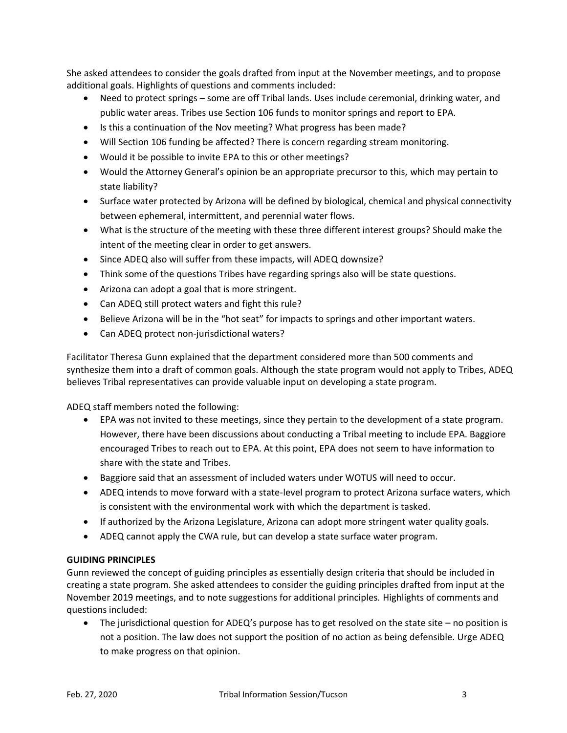She asked attendees to consider the goals drafted from input at the November meetings, and to propose additional goals. Highlights of questions and comments included:

- Need to protect springs some are off Tribal lands. Uses include ceremonial, drinking water, and public water areas. Tribes use Section 106 funds to monitor springs and report to EPA.
- Is this a continuation of the Nov meeting? What progress has been made?
- Will Section 106 funding be affected? There is concern regarding stream monitoring.
- Would it be possible to invite EPA to this or other meetings?
- Would the Attorney General's opinion be an appropriate precursor to this, which may pertain to state liability?
- Surface water protected by Arizona will be defined by biological, chemical and physical connectivity between ephemeral, intermittent, and perennial water flows.
- What is the structure of the meeting with these three different interest groups? Should make the intent of the meeting clear in order to get answers.
- Since ADEQ also will suffer from these impacts, will ADEQ downsize?
- Think some of the questions Tribes have regarding springs also will be state questions.
- Arizona can adopt a goal that is more stringent.
- Can ADEQ still protect waters and fight this rule?
- Believe Arizona will be in the "hot seat" for impacts to springs and other important waters.
- Can ADEQ protect non-jurisdictional waters?

Facilitator Theresa Gunn explained that the department considered more than 500 comments and synthesize them into a draft of common goals. Although the state program would not apply to Tribes, ADEQ believes Tribal representatives can provide valuable input on developing a state program.

ADEQ staff members noted the following:

- EPA was not invited to these meetings, since they pertain to the development of a state program. However, there have been discussions about conducting a Tribal meeting to include EPA. Baggiore encouraged Tribes to reach out to EPA. At this point, EPA does not seem to have information to share with the state and Tribes.
- Baggiore said that an assessment of included waters under WOTUS will need to occur.
- ADEQ intends to move forward with a state-level program to protect Arizona surface waters, which is consistent with the environmental work with which the department is tasked.
- If authorized by the Arizona Legislature, Arizona can adopt more stringent water quality goals.
- ADEQ cannot apply the CWA rule, but can develop a state surface water program.

# **GUIDING PRINCIPLES**

Gunn reviewed the concept of guiding principles as essentially design criteria that should be included in creating a state program. She asked attendees to consider the guiding principles drafted from input at the November 2019 meetings, and to note suggestions for additional principles. Highlights of comments and questions included:

• The jurisdictional question for ADEQ's purpose has to get resolved on the state site – no position is not a position. The law does not support the position of no action as being defensible. Urge ADEQ to make progress on that opinion.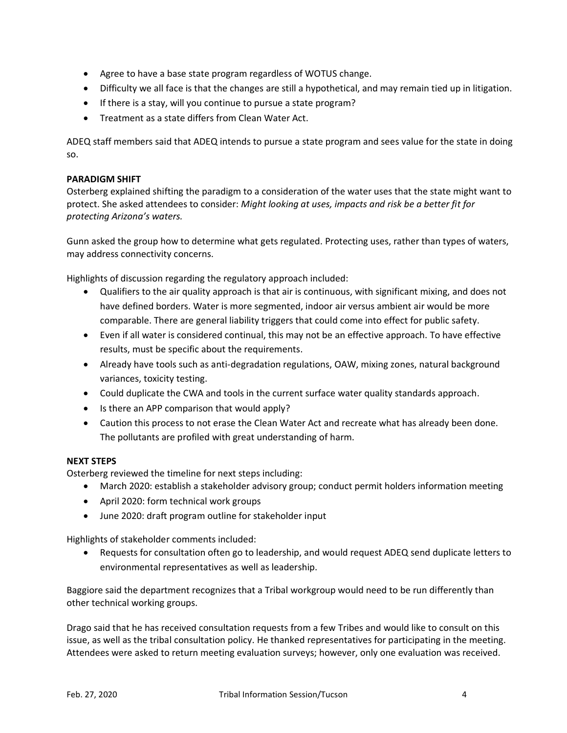- Agree to have a base state program regardless of WOTUS change.
- Difficulty we all face is that the changes are still a hypothetical, and may remain tied up in litigation.
- If there is a stay, will you continue to pursue a state program?
- Treatment as a state differs from Clean Water Act.

ADEQ staff members said that ADEQ intends to pursue a state program and sees value for the state in doing so.

#### **PARADIGM SHIFT**

Osterberg explained shifting the paradigm to a consideration of the water uses that the state might want to protect. She asked attendees to consider: *Might looking at uses, impacts and risk be a better fit for protecting Arizona's waters.*

Gunn asked the group how to determine what gets regulated. Protecting uses, rather than types of waters, may address connectivity concerns.

Highlights of discussion regarding the regulatory approach included:

- Qualifiers to the air quality approach is that air is continuous, with significant mixing, and does not have defined borders. Water is more segmented, indoor air versus ambient air would be more comparable. There are general liability triggers that could come into effect for public safety.
- Even if all water is considered continual, this may not be an effective approach. To have effective results, must be specific about the requirements.
- Already have tools such as anti-degradation regulations, OAW, mixing zones, natural background variances, toxicity testing.
- Could duplicate the CWA and tools in the current surface water quality standards approach.
- Is there an APP comparison that would apply?
- Caution this process to not erase the Clean Water Act and recreate what has already been done. The pollutants are profiled with great understanding of harm.

# **NEXT STEPS**

Osterberg reviewed the timeline for next steps including:

- March 2020: establish a stakeholder advisory group; conduct permit holders information meeting
- April 2020: form technical work groups
- June 2020: draft program outline for stakeholder input

Highlights of stakeholder comments included:

• Requests for consultation often go to leadership, and would request ADEQ send duplicate letters to environmental representatives as well as leadership.

Baggiore said the department recognizes that a Tribal workgroup would need to be run differently than other technical working groups.

Drago said that he has received consultation requests from a few Tribes and would like to consult on this issue, as well as the tribal consultation policy. He thanked representatives for participating in the meeting. Attendees were asked to return meeting evaluation surveys; however, only one evaluation was received.